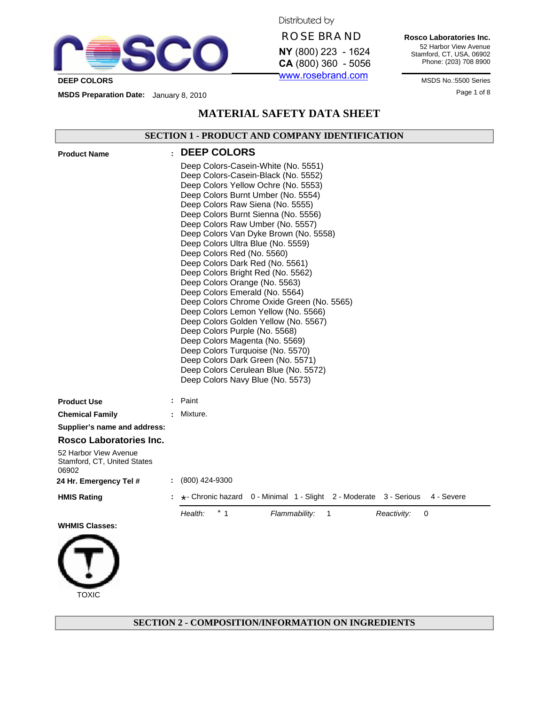

**TOXIC** 

Distributed by

# **ROSE BRAND**

**NY** (800) 223 - 1624 **CA** (800) 360 - 5056 www.rosebrand.com

**Rosco Laboratories Inc.** 52 Harbor View Avenue Stamford, CT, USA, 06902 Phone: (203) 708 8900

Page 1 of 8 **MSDS Preparation Date:** January 8, 2010

# **MATERIAL SAFETY DATA SHEET**

# **SECTION 1 - PRODUCT AND COMPANY IDENTIFICATION**

| <b>Product Name</b>                                           | <b>DEEP COLORS</b>                                                                                                                                                                                                                                                                                                                                                                                                                                                                                                                                                                                                                                                                                                                                                                                                                                                                |
|---------------------------------------------------------------|-----------------------------------------------------------------------------------------------------------------------------------------------------------------------------------------------------------------------------------------------------------------------------------------------------------------------------------------------------------------------------------------------------------------------------------------------------------------------------------------------------------------------------------------------------------------------------------------------------------------------------------------------------------------------------------------------------------------------------------------------------------------------------------------------------------------------------------------------------------------------------------|
|                                                               | Deep Colors-Casein-White (No. 5551)<br>Deep Colors-Casein-Black (No. 5552)<br>Deep Colors Yellow Ochre (No. 5553)<br>Deep Colors Burnt Umber (No. 5554)<br>Deep Colors Raw Siena (No. 5555)<br>Deep Colors Burnt Sienna (No. 5556)<br>Deep Colors Raw Umber (No. 5557)<br>Deep Colors Van Dyke Brown (No. 5558)<br>Deep Colors Ultra Blue (No. 5559)<br>Deep Colors Red (No. 5560)<br>Deep Colors Dark Red (No. 5561)<br>Deep Colors Bright Red (No. 5562)<br>Deep Colors Orange (No. 5563)<br>Deep Colors Emerald (No. 5564)<br>Deep Colors Chrome Oxide Green (No. 5565)<br>Deep Colors Lemon Yellow (No. 5566)<br>Deep Colors Golden Yellow (No. 5567)<br>Deep Colors Purple (No. 5568)<br>Deep Colors Magenta (No. 5569)<br>Deep Colors Turquoise (No. 5570)<br>Deep Colors Dark Green (No. 5571)<br>Deep Colors Cerulean Blue (No. 5572)<br>Deep Colors Navy Blue (No. 5573) |
| <b>Product Use</b>                                            | Paint                                                                                                                                                                                                                                                                                                                                                                                                                                                                                                                                                                                                                                                                                                                                                                                                                                                                             |
| <b>Chemical Family</b>                                        | Mixture.                                                                                                                                                                                                                                                                                                                                                                                                                                                                                                                                                                                                                                                                                                                                                                                                                                                                          |
| Supplier's name and address:                                  |                                                                                                                                                                                                                                                                                                                                                                                                                                                                                                                                                                                                                                                                                                                                                                                                                                                                                   |
| Rosco Laboratories Inc.                                       |                                                                                                                                                                                                                                                                                                                                                                                                                                                                                                                                                                                                                                                                                                                                                                                                                                                                                   |
| 52 Harbor View Avenue<br>Stamford, CT, United States<br>06902 |                                                                                                                                                                                                                                                                                                                                                                                                                                                                                                                                                                                                                                                                                                                                                                                                                                                                                   |
| 24 Hr. Emergency Tel #                                        | $: (800)$ 424-9300                                                                                                                                                                                                                                                                                                                                                                                                                                                                                                                                                                                                                                                                                                                                                                                                                                                                |
| <b>HMIS Rating</b>                                            | $\star$ - Chronic hazard 0 - Minimal 1 - Slight 2 - Moderate 3 - Serious<br>4 - Severe                                                                                                                                                                                                                                                                                                                                                                                                                                                                                                                                                                                                                                                                                                                                                                                            |
|                                                               | $*$ 1<br>Health:<br>Flammability:<br>Reactivity:<br>1<br>0                                                                                                                                                                                                                                                                                                                                                                                                                                                                                                                                                                                                                                                                                                                                                                                                                        |
| <b>WHMIS Classes:</b>                                         |                                                                                                                                                                                                                                                                                                                                                                                                                                                                                                                                                                                                                                                                                                                                                                                                                                                                                   |
|                                                               |                                                                                                                                                                                                                                                                                                                                                                                                                                                                                                                                                                                                                                                                                                                                                                                                                                                                                   |

**SECTION 2 - COMPOSITION/INFORMATION ON INGREDIENTS**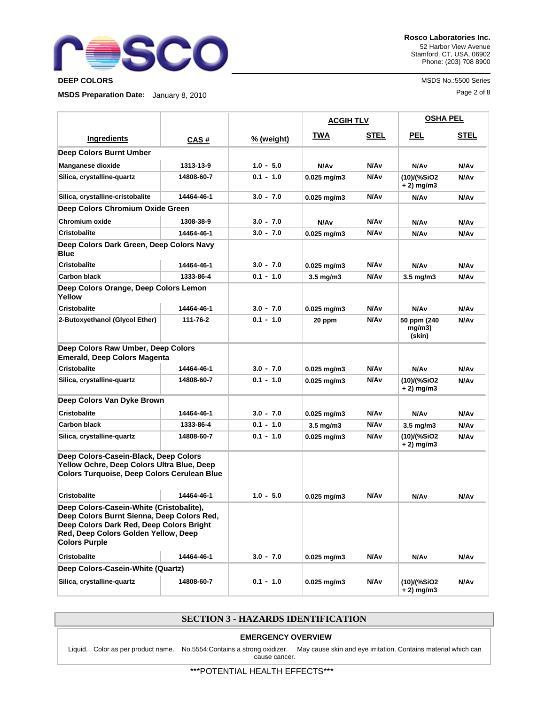

Page 2 of 8 **MSDS Preparation Date:** January 8, 2010

**Rosco Laboratories Inc.** 52 Harbor View Avenue Stamford, CT, USA, 06902 Phone: (203) 708 8900

**DEEP COLORS** MSDS No.:5500 Series

|                                                                                                                                                                                                    |            |             | <b>ACGIH TLV</b>   |                  | <b>OSHA PEL</b>                 |      |
|----------------------------------------------------------------------------------------------------------------------------------------------------------------------------------------------------|------------|-------------|--------------------|------------------|---------------------------------|------|
| Ingredients                                                                                                                                                                                        | CAS#       | % (weight)  | TWA                | <b>STEL</b>      | PEL                             | STEL |
| Deep Colors Burnt Umber                                                                                                                                                                            |            |             |                    |                  |                                 |      |
| <b>Manganese dioxide</b>                                                                                                                                                                           | 1313-13-9  | $1.0 - 5.0$ | N/A <sub>v</sub>   | N/Av             | N/Av                            | N/Av |
| Silica, crystalline-quartz                                                                                                                                                                         | 14808-60-7 | $0.1 - 1.0$ | $0.025$ mg/m3      | N/A <sub>v</sub> | (10)/(%SiO2<br>+ 2) mg/m3       | N/Av |
| Silica, crystalline-cristobalite                                                                                                                                                                   | 14464-46-1 | $3.0 - 7.0$ | $0.025$ mg/m3      | N/A <sub>v</sub> | N/Av                            | N/Av |
| Deep Colors Chromium Oxide Green                                                                                                                                                                   |            |             |                    |                  |                                 |      |
| <b>Chromium oxide</b>                                                                                                                                                                              | 1308-38-9  | $3.0 - 7.0$ | N/A <sub>v</sub>   | N/A <sub>v</sub> | N/Av                            | N/Av |
| <b>Cristobalite</b>                                                                                                                                                                                | 14464-46-1 | $3.0 - 7.0$ | $0.025$ mg/m3      | N/A <sub>v</sub> | N/Av                            | N/Av |
| Deep Colors Dark Green, Deep Colors Navy<br><b>Blue</b>                                                                                                                                            |            |             |                    |                  |                                 |      |
| <b>Cristobalite</b>                                                                                                                                                                                | 14464-46-1 | $3.0 - 7.0$ | $0.025$ mg/m3      | N/A <sub>v</sub> | N/Av                            | N/Av |
| <b>Carbon black</b>                                                                                                                                                                                | 1333-86-4  | $0.1 - 1.0$ | $3.5 \text{ mg/m}$ | N/A <sub>v</sub> | $3.5 \text{ mg/m}$              | N/Av |
| Deep Colors Orange, Deep Colors Lemon<br>Yellow                                                                                                                                                    |            |             |                    |                  |                                 |      |
| <b>Cristobalite</b>                                                                                                                                                                                | 14464-46-1 | $3.0 - 7.0$ | $0.025$ mg/m3      | N/A <sub>v</sub> | N/Av                            | N/Av |
| 2-Butoxyethanol (Glycol Ether)                                                                                                                                                                     | 111-76-2   | $0.1 - 1.0$ | 20 ppm             | N/A <sub>v</sub> | 50 ppm (240<br>mg/m3)<br>(skin) | N/Av |
| Deep Colors Raw Umber, Deep Colors<br><b>Emerald, Deep Colors Magenta</b>                                                                                                                          |            |             |                    |                  |                                 |      |
| <b>Cristobalite</b>                                                                                                                                                                                | 14464-46-1 | $3.0 - 7.0$ | $0.025$ mg/m3      | N/Av             | N/Av                            | N/Av |
| Silica, crystalline-quartz                                                                                                                                                                         | 14808-60-7 | $0.1 - 1.0$ | $0.025$ mg/m3      | N/A <sub>v</sub> | (10)/(%SiO2<br>+ 2) mg/m3       | N/Av |
| Deep Colors Van Dyke Brown                                                                                                                                                                         |            |             |                    |                  |                                 |      |
| <b>Cristobalite</b>                                                                                                                                                                                | 14464-46-1 | $3.0 - 7.0$ | $0.025$ mg/m3      | N/A <sub>v</sub> | N/Av                            | N/Av |
| <b>Carbon black</b>                                                                                                                                                                                | 1333-86-4  | $0.1 - 1.0$ | $3.5 \text{ mg/m}$ | N/A <sub>v</sub> | $3.5 \text{ mg/m}$              | N/Av |
| Silica, crystalline-quartz                                                                                                                                                                         | 14808-60-7 | $0.1 - 1.0$ | $0.025$ mg/m3      | N/Av             | (10)/(%SiO2<br>$+2)$ mg/m3      | N/Av |
| Deep Colors-Casein-Black, Deep Colors<br>Yellow Ochre, Deep Colors Ultra Blue, Deep<br><b>Colors Turquoise, Deep Colors Cerulean Blue</b>                                                          |            |             |                    |                  |                                 |      |
| <b>Cristobalite</b>                                                                                                                                                                                | 14464-46-1 | $1.0 - 5.0$ | $0.025$ mg/m3      | N/A <sub>v</sub> | N/Av                            | N/Av |
| Deep Colors-Casein-White (Cristobalite),<br>Deep Colors Burnt Sienna, Deep Colors Red,<br>Deep Colors Dark Red, Deep Colors Bright<br>Red, Deep Colors Golden Yellow, Deep<br><b>Colors Purple</b> |            |             |                    |                  |                                 |      |
| <b>Cristobalite</b>                                                                                                                                                                                | 14464-46-1 | $3.0 - 7.0$ | $0.025$ mg/m3      | N/Av             | N/Av                            | N/Av |
| Deep Colors-Casein-White (Quartz)                                                                                                                                                                  |            |             |                    |                  |                                 |      |
| Silica, crystalline-quartz                                                                                                                                                                         | 14808-60-7 | $0.1 - 1.0$ | $0.025$ mg/m3      | N/Av             | (10)/(%SiO2<br>$+2)$ mg/m3      | N/Av |

### **SECTION 3 - HAZARDS IDENTIFICATION**

### **EMERGENCY OVERVIEW**

Liquid. Color as per product name. No.5554:Contains a strong oxidizer. May cause skin and eye irritation. Contains material which can cause cancer.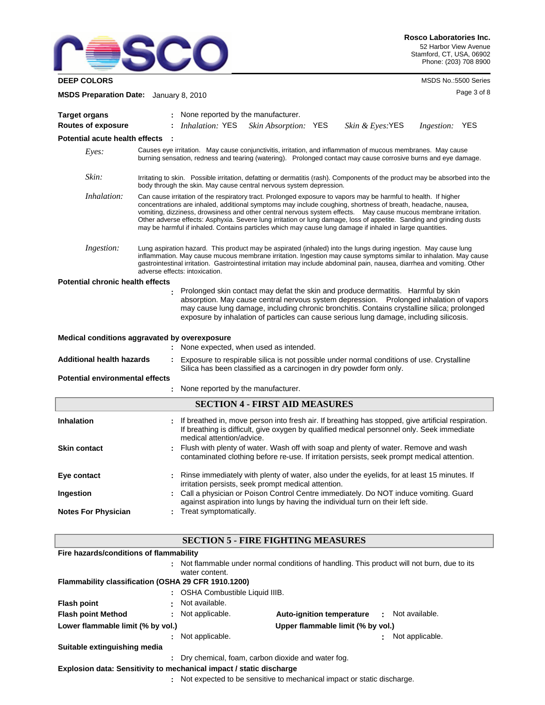

**DEEP COLORS** MSDS No.:5500 Series

| MSDS Preparation Date: January 8, 2010  |                                                                                                                                                                                                                                                                                                                                                                                                                                                                                                                                                                                         | Page 3 of 8    |  |
|-----------------------------------------|-----------------------------------------------------------------------------------------------------------------------------------------------------------------------------------------------------------------------------------------------------------------------------------------------------------------------------------------------------------------------------------------------------------------------------------------------------------------------------------------------------------------------------------------------------------------------------------------|----------------|--|
| <b>Target organs</b>                    | None reported by the manufacturer.                                                                                                                                                                                                                                                                                                                                                                                                                                                                                                                                                      |                |  |
| <b>Routes of exposure</b>               | <i>Inhalation:</i> YES<br>Skin Absorption: YES<br>Skin & Eyes:YES                                                                                                                                                                                                                                                                                                                                                                                                                                                                                                                       | Ingestion: YES |  |
| Potential acute health effects          |                                                                                                                                                                                                                                                                                                                                                                                                                                                                                                                                                                                         |                |  |
| Eyes:                                   | Causes eye irritation. May cause conjunctivitis, irritation, and inflammation of mucous membranes. May cause<br>burning sensation, redness and tearing (watering). Prolonged contact may cause corrosive burns and eye damage.                                                                                                                                                                                                                                                                                                                                                          |                |  |
| Skin:                                   | Irritating to skin. Possible irritation, defatting or dermatitis (rash). Components of the product may be absorbed into the<br>body through the skin. May cause central nervous system depression.                                                                                                                                                                                                                                                                                                                                                                                      |                |  |
| Inhalation:                             | Can cause irritation of the respiratory tract. Prolonged exposure to vapors may be harmful to health. If higher<br>concentrations are inhaled, additional symptoms may include coughing, shortness of breath, headache, nausea,<br>vomiting, dizziness, drowsiness and other central nervous system effects. May cause mucous membrane irritation.<br>Other adverse effects: Asphyxia. Severe lung irritation or lung damage, loss of appetite. Sanding and grinding dusts<br>may be harmful if inhaled. Contains particles which may cause lung damage if inhaled in large quantities. |                |  |
| Ingestion:                              | Lung aspiration hazard. This product may be aspirated (inhaled) into the lungs during ingestion. May cause lung<br>inflammation. May cause mucous membrane irritation. Ingestion may cause symptoms similar to inhalation. May cause<br>gastrointestinal irritation. Gastrointestinal irritation may include abdominal pain, nausea, diarrhea and vomiting. Other<br>adverse effects: intoxication.                                                                                                                                                                                     |                |  |
| <b>Potential chronic health effects</b> |                                                                                                                                                                                                                                                                                                                                                                                                                                                                                                                                                                                         |                |  |
|                                         | Prolonged skin contact may defat the skin and produce dermatitis. Harmful by skin<br>absorption. May cause central nervous system depression.  Prolonged inhalation of vapors<br>may cause lung damage, including chronic bronchitis. Contains crystalline silica; prolonged<br>exposure by inhalation of particles can cause serious lung damage, including silicosis.                                                                                                                                                                                                                 |                |  |
|                                         | Medical conditions aggravated by overexposure<br>: None expected, when used as intended.                                                                                                                                                                                                                                                                                                                                                                                                                                                                                                |                |  |
| <b>Additional health hazards</b>        | Exposure to respirable silica is not possible under normal conditions of use. Crystalline<br>Silica has been classified as a carcinogen in dry powder form only.                                                                                                                                                                                                                                                                                                                                                                                                                        |                |  |
| <b>Potential environmental effects</b>  |                                                                                                                                                                                                                                                                                                                                                                                                                                                                                                                                                                                         |                |  |
|                                         | None reported by the manufacturer.                                                                                                                                                                                                                                                                                                                                                                                                                                                                                                                                                      |                |  |
|                                         | <b>SECTION 4 - FIRST AID MEASURES</b>                                                                                                                                                                                                                                                                                                                                                                                                                                                                                                                                                   |                |  |
| <b>Inhalation</b>                       | If breathed in, move person into fresh air. If breathing has stopped, give artificial respiration.<br>If breathing is difficult, give oxygen by qualified medical personnel only. Seek immediate<br>medical attention/advice.                                                                                                                                                                                                                                                                                                                                                           |                |  |
| <b>Skin contact</b>                     | Flush with plenty of water. Wash off with soap and plenty of water. Remove and wash<br>contaminated clothing before re-use. If irritation persists, seek prompt medical attention.                                                                                                                                                                                                                                                                                                                                                                                                      |                |  |
| Eye contact                             | Rinse immediately with plenty of water, also under the eyelids, for at least 15 minutes. If<br>irritation persists, seek prompt medical attention.                                                                                                                                                                                                                                                                                                                                                                                                                                      |                |  |
| Ingestion                               | Call a physician or Poison Control Centre immediately. Do NOT induce vomiting. Guard<br>against aspiration into lungs by having the individual turn on their left side.                                                                                                                                                                                                                                                                                                                                                                                                                 |                |  |
| <b>Notes For Physician</b>              | Treat symptomatically.                                                                                                                                                                                                                                                                                                                                                                                                                                                                                                                                                                  |                |  |
|                                         | <b>SECTION 5 - FIRE FIGHTING MEASURES</b>                                                                                                                                                                                                                                                                                                                                                                                                                                                                                                                                               |                |  |
| Fire hazards/conditions of flammability |                                                                                                                                                                                                                                                                                                                                                                                                                                                                                                                                                                                         |                |  |
|                                         | Not flammable under normal conditions of handling. This product will not burn, due to its<br>water content.                                                                                                                                                                                                                                                                                                                                                                                                                                                                             |                |  |

# **Flammability classification (OSHA 29 CFR 1910.1200)**

|                                                                        |  | : OSHA Combustible Liquid IIIB.                                        |                                  |             |                 |
|------------------------------------------------------------------------|--|------------------------------------------------------------------------|----------------------------------|-------------|-----------------|
|                                                                        |  |                                                                        |                                  |             |                 |
| <b>Flash point</b>                                                     |  | Not available.                                                         |                                  |             |                 |
| <b>Flash point Method</b>                                              |  | : Not applicable.                                                      | <b>Auto-ignition temperature</b> | <b>COLL</b> | Not available.  |
| Upper flammable limit (% by vol.)<br>Lower flammable limit (% by vol.) |  |                                                                        |                                  |             |                 |
|                                                                        |  | Not applicable.                                                        |                                  |             | Not applicable. |
| Suitable extinguishing media                                           |  |                                                                        |                                  |             |                 |
|                                                                        |  | : Dry chemical, foam, carbon dioxide and water fog.                    |                                  |             |                 |
|                                                                        |  | Explosion data: Sensitivity to mechanical impact / static discharge    |                                  |             |                 |
|                                                                        |  | Not expected to be sensitive to mechanical impact or static discharge. |                                  |             |                 |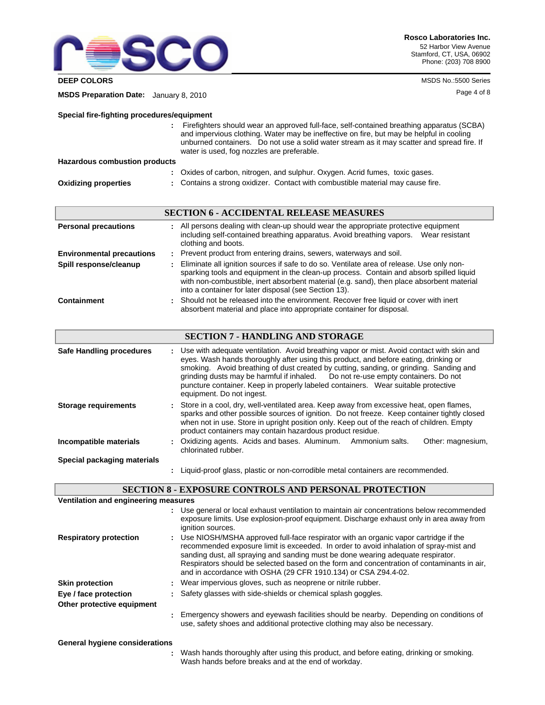

**DEEP COLORS** MSDS No.:5500 Series

Page 4 of 8 **MSDS Preparation Date:** January 8, 2010

### **Special fire-fighting procedures/equipment**

 Firefighters should wear an approved full-face, self-contained breathing apparatus (SCBA) **:** and impervious clothing. Water may be ineffective on fire, but may be helpful in cooling unburned containers. Do not use a solid water stream as it may scatter and spread fire. If water is used, fog nozzles are preferable.

### **Hazardous combustion products**

|                             | : Oxides of carbon, nitrogen, and sulphur. Oxygen. Acrid fumes, toxic gases.    |
|-----------------------------|---------------------------------------------------------------------------------|
| <b>Oxidizing properties</b> | : Contains a strong oxidizer. Contact with combustible material may cause fire. |

|                                  | <b>SECTION 6 - ACCIDENTAL RELEASE MEASURES</b>                                                                                                                                                                                                                                                                                               |  |
|----------------------------------|----------------------------------------------------------------------------------------------------------------------------------------------------------------------------------------------------------------------------------------------------------------------------------------------------------------------------------------------|--|
| <b>Personal precautions</b>      | : All persons dealing with clean-up should wear the appropriate protective equipment<br>including self-contained breathing apparatus. Avoid breathing vapors. Wear resistant<br>clothing and boots.                                                                                                                                          |  |
| <b>Environmental precautions</b> | : Prevent product from entering drains, sewers, waterways and soil.                                                                                                                                                                                                                                                                          |  |
| Spill response/cleanup           | : Eliminate all ignition sources if safe to do so. Ventilate area of release. Use only non-<br>sparking tools and equipment in the clean-up process. Contain and absorb spilled liquid<br>with non-combustible, inert absorbent material (e.g. sand), then place absorbent material<br>into a container for later disposal (see Section 13). |  |
| Containment                      | : Should not be released into the environment. Recover free liquid or cover with inert<br>absorbent material and place into appropriate container for disposal.                                                                                                                                                                              |  |

### **SECTION 7 - HANDLING AND STORAGE**

| Safe Handling procedures    | : Use with adequate ventilation. Avoid breathing vapor or mist. Avoid contact with skin and<br>eyes. Wash hands thoroughly after using this product, and before eating, drinking or<br>smoking. Avoid breathing of dust created by cutting, sanding, or grinding. Sanding and<br>grinding dusts may be harmful if inhaled.  Do not re-use empty containers. Do not<br>puncture container. Keep in properly labeled containers.  Wear suitable protective<br>equipment. Do not ingest. |
|-----------------------------|---------------------------------------------------------------------------------------------------------------------------------------------------------------------------------------------------------------------------------------------------------------------------------------------------------------------------------------------------------------------------------------------------------------------------------------------------------------------------------------|
| <b>Storage requirements</b> | : Store in a cool, dry, well-ventilated area. Keep away from excessive heat, open flames,<br>sparks and other possible sources of ignition. Do not freeze. Keep container tightly closed<br>when not in use. Store in upright position only. Keep out of the reach of children. Empty<br>product containers may contain hazardous product residue.                                                                                                                                    |
| Incompatible materials      | Oxidizing agents. Acids and bases. Aluminum. Ammonium salts.<br>Other: magnesium,<br>chlorinated rubber.                                                                                                                                                                                                                                                                                                                                                                              |
| Special packaging materials |                                                                                                                                                                                                                                                                                                                                                                                                                                                                                       |
|                             | Liquid-proof glass, plastic or non-corrodible metal containers are recommended.                                                                                                                                                                                                                                                                                                                                                                                                       |

# **SECTION 8 - EXPOSURE CONTROLS AND PERSONAL PROTECTION**

| Ventilation and engineering measures  |                                                                                                                                                                                                                                                                                                                                                                                                                                   |
|---------------------------------------|-----------------------------------------------------------------------------------------------------------------------------------------------------------------------------------------------------------------------------------------------------------------------------------------------------------------------------------------------------------------------------------------------------------------------------------|
|                                       | Use general or local exhaust ventilation to maintain air concentrations below recommended<br>exposure limits. Use explosion-proof equipment. Discharge exhaust only in area away from<br>ignition sources.                                                                                                                                                                                                                        |
| <b>Respiratory protection</b>         | Use NIOSH/MSHA approved full-face respirator with an organic vapor cartridge if the<br>recommended exposure limit is exceeded. In order to avoid inhalation of spray-mist and<br>sanding dust, all spraying and sanding must be done wearing adequate respirator.<br>Respirators should be selected based on the form and concentration of contaminants in air,<br>and in accordance with OSHA (29 CFR 1910.134) or CSA Z94.4-02. |
| <b>Skin protection</b>                | : Wear impervious gloves, such as neoprene or nitrile rubber.                                                                                                                                                                                                                                                                                                                                                                     |
| Eye / face protection                 | : Safety glasses with side-shields or chemical splash goggles.                                                                                                                                                                                                                                                                                                                                                                    |
| Other protective equipment            |                                                                                                                                                                                                                                                                                                                                                                                                                                   |
|                                       | Emergency showers and eyewash facilities should be nearby. Depending on conditions of<br>use, safety shoes and additional protective clothing may also be necessary.                                                                                                                                                                                                                                                              |
| <b>General hygiene considerations</b> |                                                                                                                                                                                                                                                                                                                                                                                                                                   |

**:** Wash hands thoroughly after using this product, and before eating, drinking or smoking. Wash hands before breaks and at the end of workday.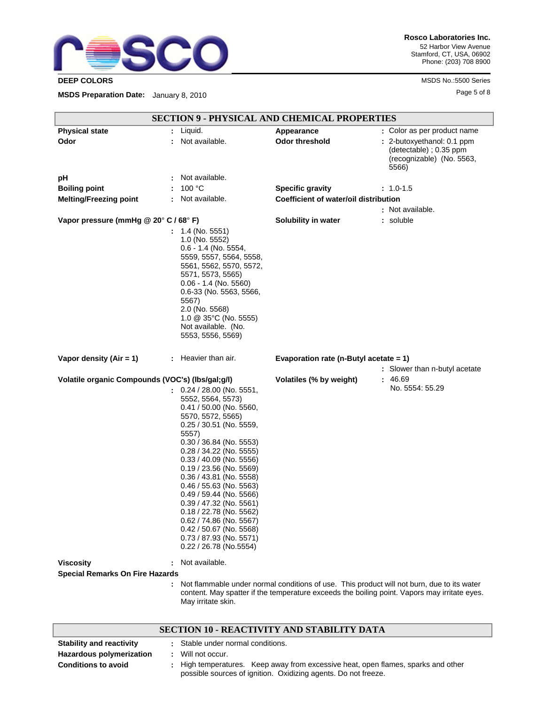

**Rosco Laboratories Inc.** 52 Harbor View Avenue Stamford, CT, USA, 06902 Phone: (203) 708 8900

**DEEP COLORS** MSDS No.:5500 Series

Page 5 of 8 **MSDS Preparation Date:** January 8, 2010

|                                                                      | <b>SECTION 9 - PHYSICAL AND CHEMICAL PROPERTIES</b>                                                                                                                                                                                                                                                                                                                                                                                                                                                                                           |                                           |                                                                                                                                                                                            |
|----------------------------------------------------------------------|-----------------------------------------------------------------------------------------------------------------------------------------------------------------------------------------------------------------------------------------------------------------------------------------------------------------------------------------------------------------------------------------------------------------------------------------------------------------------------------------------------------------------------------------------|-------------------------------------------|--------------------------------------------------------------------------------------------------------------------------------------------------------------------------------------------|
| <b>Physical state</b><br>Odor                                        | $:$ Liquid.<br>Not available.                                                                                                                                                                                                                                                                                                                                                                                                                                                                                                                 | Appearance<br><b>Odor threshold</b>       | : Color as per product name<br>: 2-butoxyethanol: 0.1 ppm                                                                                                                                  |
|                                                                      |                                                                                                                                                                                                                                                                                                                                                                                                                                                                                                                                               |                                           | (detectable); 0.35 ppm<br>(recognizable) (No. 5563,<br>5566)                                                                                                                               |
| рH                                                                   | Not available.                                                                                                                                                                                                                                                                                                                                                                                                                                                                                                                                |                                           |                                                                                                                                                                                            |
| <b>Boiling point</b>                                                 | 100 °C                                                                                                                                                                                                                                                                                                                                                                                                                                                                                                                                        | <b>Specific gravity</b>                   | : 1.0-1.5                                                                                                                                                                                  |
| <b>Melting/Freezing point</b>                                        | Not available.                                                                                                                                                                                                                                                                                                                                                                                                                                                                                                                                | Coefficient of water/oil distribution     |                                                                                                                                                                                            |
| Vapor pressure (mmHg @ 20° C / 68° F)                                |                                                                                                                                                                                                                                                                                                                                                                                                                                                                                                                                               | Solubility in water                       | : Not available.<br>: soluble                                                                                                                                                              |
|                                                                      | 1.4 (No. 5551)<br>1.0 (No. 5552)<br>$0.6 - 1.4$ (No. 5554,<br>5559, 5557, 5564, 5558,<br>5561, 5562, 5570, 5572,<br>5571, 5573, 5565)<br>$0.06 - 1.4$ (No. 5560)<br>0.6-33 (No. 5563, 5566,<br>5567)<br>2.0 (No. 5568)<br>1.0 @ 35°C (No. 5555)<br>Not available. (No.<br>5553, 5556, 5569)                                                                                                                                                                                                                                                   |                                           |                                                                                                                                                                                            |
| Vapor density (Air = $1$ )                                           | : Heavier than air.                                                                                                                                                                                                                                                                                                                                                                                                                                                                                                                           | Evaporation rate (n-Butyl acetate $= 1$ ) | : Slower than n-butyl acetate                                                                                                                                                              |
| Volatile organic Compounds (VOC's) (lbs/gal;g/l)<br><b>Viscosity</b> | $\therefore$ 0.24 / 28.00 (No. 5551,<br>5552, 5564, 5573)<br>$0.41 / 50.00$ (No. 5560,<br>5570, 5572, 5565)<br>0.25 / 30.51 (No. 5559,<br>5557)<br>$0.30 / 36.84$ (No. 5553)<br>0.28 / 34.22 (No. 5555)<br>$0.33 / 40.09$ (No. 5556)<br>$0.19 / 23.56$ (No. 5569)<br>$0.36 / 43.81$ (No. 5558)<br>$0.46 / 55.63$ (No. 5563)<br>$0.49 / 59.44$ (No. 5566)<br>0.39 / 47.32 (No. 5561)<br>0.18 / 22.78 (No. 5562)<br>0.62 / 74.86 (No. 5567)<br>$0.42 / 50.67$ (No. 5568)<br>0.73 / 87.93 (No. 5571)<br>0.22 / 26.78 (No.5554)<br>Not available. | Volatiles (% by weight)                   | 46.69<br>No. 5554: 55.29                                                                                                                                                                   |
| <b>Special Remarks On Fire Hazards</b>                               |                                                                                                                                                                                                                                                                                                                                                                                                                                                                                                                                               |                                           |                                                                                                                                                                                            |
|                                                                      | May irritate skin.                                                                                                                                                                                                                                                                                                                                                                                                                                                                                                                            |                                           | Not flammable under normal conditions of use. This product will not burn, due to its water<br>content. May spatter if the temperature exceeds the boiling point. Vapors may irritate eyes. |
|                                                                      | <b>SECTION 10 - REACTIVITY AND STABILITY DATA</b>                                                                                                                                                                                                                                                                                                                                                                                                                                                                                             |                                           |                                                                                                                                                                                            |
| <b>Stability and reactivity</b>                                      | Stable under normal conditions.                                                                                                                                                                                                                                                                                                                                                                                                                                                                                                               |                                           |                                                                                                                                                                                            |
| <b>Hazardous polymerization</b>                                      | Will not occur.                                                                                                                                                                                                                                                                                                                                                                                                                                                                                                                               |                                           |                                                                                                                                                                                            |

**Conditions to avoid <b>Exe** : High temperatures. Keep away from excessive heat, open flames, sparks and other

**:**

possible sources of ignition. Oxidizing agents. Do not freeze.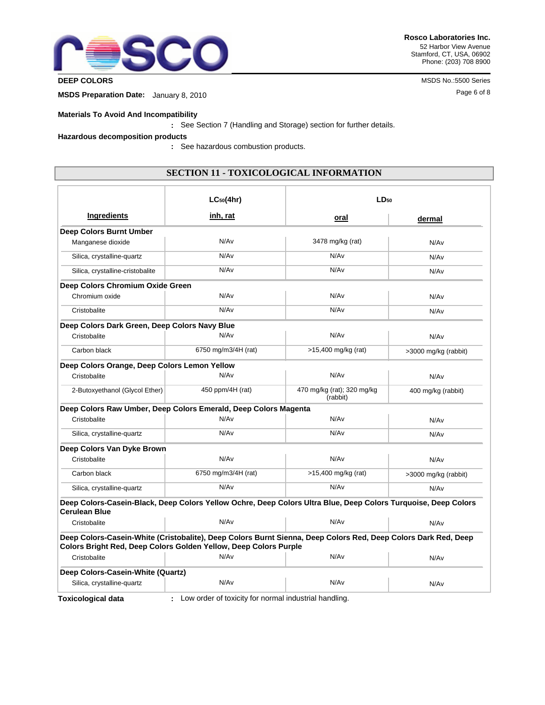

**Rosco Laboratories Inc.** 52 Harbor View Avenue Stamford, CT, USA, 06902 Phone: (203) 708 8900

**DEEP COLORS** MSDS No.:5500 Series

Page 6 of 8 **MSDS Preparation Date:** January 8, 2010

### **Materials To Avoid And Incompatibility**

See Section 7 (Handling and Storage) section for further details. **:**

**Hazardous decomposition products**

**:** See hazardous combustion products.

# **SECTION 11 - TOXICOLOGICAL INFORMATION**

|                                                                                                                                        | $LC_{50}(4hr)$                                        | $LD_{50}$                              |                      |  |
|----------------------------------------------------------------------------------------------------------------------------------------|-------------------------------------------------------|----------------------------------------|----------------------|--|
| Ingredients                                                                                                                            | inh, rat                                              | oral                                   | dermal               |  |
| Deep Colors Burnt Umber                                                                                                                |                                                       |                                        |                      |  |
| Manganese dioxide                                                                                                                      | N/Av                                                  | 3478 mg/kg (rat)                       | N/Av                 |  |
| Silica, crystalline-quartz                                                                                                             | N/A <sub>v</sub>                                      | N/Av                                   | N/Av                 |  |
| Silica, crystalline-cristobalite                                                                                                       | N/Av                                                  | N/Av                                   | N/Av                 |  |
| Deep Colors Chromium Oxide Green                                                                                                       |                                                       |                                        |                      |  |
| Chromium oxide                                                                                                                         | N/Av                                                  | N/Av                                   | N/Av                 |  |
| Cristobalite                                                                                                                           | N/Av                                                  | N/Av                                   | N/Av                 |  |
| Deep Colors Dark Green, Deep Colors Navy Blue                                                                                          |                                                       |                                        |                      |  |
| Cristobalite                                                                                                                           | N/Av                                                  | N/A <sub>v</sub>                       | N/Av                 |  |
| Carbon black                                                                                                                           | 6750 mg/m3/4H (rat)                                   | >15,400 mg/kg (rat)                    | >3000 mg/kg (rabbit) |  |
| Deep Colors Orange, Deep Colors Lemon Yellow                                                                                           |                                                       |                                        |                      |  |
| Cristobalite                                                                                                                           | N/Av                                                  | N/Av                                   | N/Av                 |  |
| 2-Butoxyethanol (Glycol Ether)                                                                                                         | 450 ppm/4H (rat)                                      | 470 mg/kg (rat); 320 mg/kg<br>(rabbit) | 400 mg/kg (rabbit)   |  |
| Deep Colors Raw Umber, Deep Colors Emerald, Deep Colors Magenta                                                                        |                                                       |                                        |                      |  |
| Cristobalite                                                                                                                           | N/A <sub>v</sub>                                      | N/A <sub>v</sub>                       | N/Av                 |  |
| Silica, crystalline-quartz                                                                                                             | N/Av                                                  | N/Av                                   | N/A <sub>v</sub>     |  |
| Deep Colors Van Dyke Brown                                                                                                             |                                                       |                                        |                      |  |
| Cristobalite                                                                                                                           | N/Av                                                  | N/Av                                   | N/Av                 |  |
| Carbon black                                                                                                                           | 6750 mg/m3/4H (rat)                                   | >15,400 mg/kg (rat)                    | >3000 mg/kg (rabbit) |  |
| Silica, crystalline-quartz                                                                                                             | N/Av                                                  | N/Av                                   | N/Av                 |  |
| Deep Colors-Casein-Black, Deep Colors Yellow Ochre, Deep Colors Ultra Blue, Deep Colors Turquoise, Deep Colors<br><b>Cerulean Blue</b> |                                                       |                                        |                      |  |
| Cristobalite                                                                                                                           | N/Av                                                  | N/Av                                   | N/Av                 |  |
| Deep Colors-Casein-White (Cristobalite), Deep Colors Burnt Sienna, Deep Colors Red, Deep Colors Dark Red, Deep                         |                                                       |                                        |                      |  |
| Colors Bright Red, Deep Colors Golden Yellow, Deep Colors Purple<br>Cristobalite                                                       | N/A <sub>v</sub>                                      | N/A <sub>v</sub>                       |                      |  |
|                                                                                                                                        |                                                       |                                        | N/Av                 |  |
| Deep Colors-Casein-White (Quartz)                                                                                                      |                                                       |                                        |                      |  |
| Silica, crystalline-quartz                                                                                                             | N/Av                                                  | N/Av                                   | N/Av                 |  |
| Toxicological data                                                                                                                     | Low order of toxicity for normal industrial handling. |                                        |                      |  |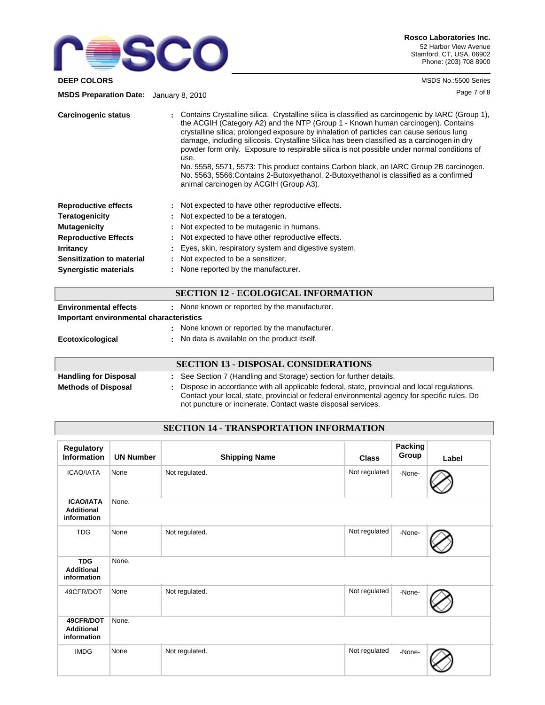

**DEEP COLORS** MSDS No.:5500 Series

Page 7 of 8 **MSDS Preparation Date:** January 8, 2010

| <b>Carcinogenic status</b>   | : Contains Crystalline silica. Crystalline silica is classified as carcinogenic by IARC (Group 1),<br>the ACGIH (Category A2) and the NTP (Group 1 - Known human carcinogen). Contains<br>crystalline silica; prolonged exposure by inhalation of particles can cause serious lung<br>damage, including silicosis. Crystalline Silica has been classified as a carcinogen in dry<br>powder form only. Exposure to respirable silica is not possible under normal conditions of<br>use.<br>No. 5558, 5571, 5573: This product contains Carbon black, an IARC Group 2B carcinogen.<br>No. 5563, 5566: Contains 2-Butoxyethanol. 2-Butoxyethanol is classified as a confirmed<br>animal carcinogen by ACGIH (Group A3). |
|------------------------------|----------------------------------------------------------------------------------------------------------------------------------------------------------------------------------------------------------------------------------------------------------------------------------------------------------------------------------------------------------------------------------------------------------------------------------------------------------------------------------------------------------------------------------------------------------------------------------------------------------------------------------------------------------------------------------------------------------------------|
| <b>Reproductive effects</b>  | : Not expected to have other reproductive effects.                                                                                                                                                                                                                                                                                                                                                                                                                                                                                                                                                                                                                                                                   |
| <b>Teratogenicity</b>        | : Not expected to be a teratogen.                                                                                                                                                                                                                                                                                                                                                                                                                                                                                                                                                                                                                                                                                    |
| <b>Mutagenicity</b>          | Not expected to be mutagenic in humans.                                                                                                                                                                                                                                                                                                                                                                                                                                                                                                                                                                                                                                                                              |
| <b>Reproductive Effects</b>  | : Not expected to have other reproductive effects.                                                                                                                                                                                                                                                                                                                                                                                                                                                                                                                                                                                                                                                                   |
| <b>Irritancy</b>             | : Eyes, skin, respiratory system and digestive system.                                                                                                                                                                                                                                                                                                                                                                                                                                                                                                                                                                                                                                                               |
| Sensitization to material    | : Not expected to be a sensitizer.                                                                                                                                                                                                                                                                                                                                                                                                                                                                                                                                                                                                                                                                                   |
| <b>Synergistic materials</b> | : None reported by the manufacturer.                                                                                                                                                                                                                                                                                                                                                                                                                                                                                                                                                                                                                                                                                 |

# **SECTION 12 - ECOLOGICAL INFORMATION**

| <b>Environmental effects</b>            | : None known or reported by the manufacturer.                                               |
|-----------------------------------------|---------------------------------------------------------------------------------------------|
| Important environmental characteristics |                                                                                             |
|                                         | : None known or reported by the manufacturer.                                               |
| Ecotoxicological                        | No data is available on the product itself.                                                 |
|                                         |                                                                                             |
|                                         | <b>SECTION 13 - DISPOSAL CONSIDERATIONS</b>                                                 |
| <b>Handling for Disposal</b>            | : See Section 7 (Handling and Storage) section for further details.                         |
| <b>Methods of Disposal</b>              | Dispose in accordance with all applicable federal, state, provincial and local requlations. |

**Methods of Disposal :** Dispose in accordance with all applicable federal, state, provincial and local regulations. Contact your local, state, provincial or federal environmental agency for specific rules. Do not puncture or incinerate. Contact waste disposal services.

# **SECTION 14 - TRANSPORTATION INFORMATION**

| Regulatory<br><b>Information</b>                     | <b>UN Number</b> | <b>Shipping Name</b> | <b>Class</b>  | Packing<br>Group | Label |
|------------------------------------------------------|------------------|----------------------|---------------|------------------|-------|
| <b>ICAO/IATA</b>                                     | None             | Not regulated.       | Not regulated | -None-           |       |
| <b>ICAO/IATA</b><br><b>Additional</b><br>information | None.            |                      |               |                  |       |
| <b>TDG</b>                                           | None             | Not regulated.       | Not regulated | -None-           |       |
| <b>TDG</b><br><b>Additional</b><br>information       | None.            |                      |               |                  |       |
| 49CFR/DOT                                            | None             | Not regulated.       | Not regulated | -None-           |       |
| 49CFR/DOT<br><b>Additional</b><br>information        | None.            |                      |               |                  |       |
| <b>IMDG</b>                                          | None             | Not regulated.       | Not regulated | -None-           |       |